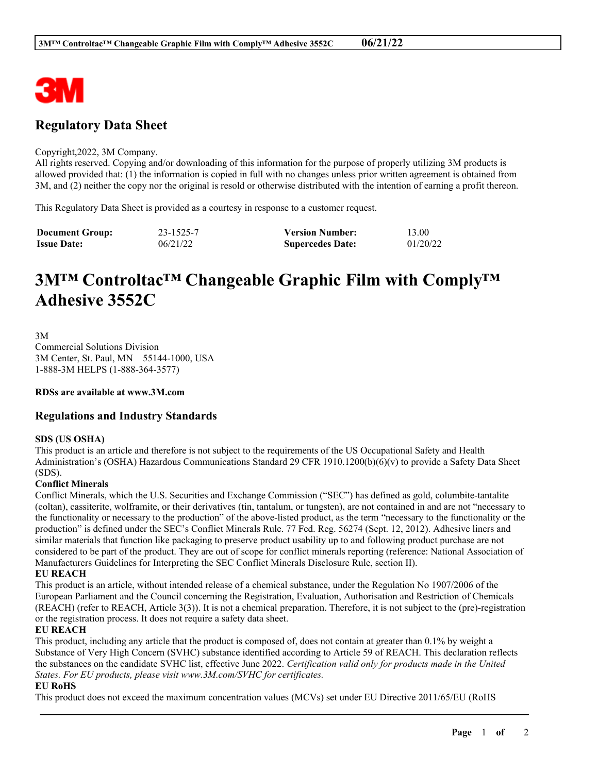

## **Regulatory Data Sheet**

#### Copyright,2022, 3M Company.

All rights reserved. Copying and/or downloading of this information for the purpose of properly utilizing 3M products is allowed provided that: (1) the information is copied in full with no changes unless prior written agreement is obtained from 3M, and (2) neither the copy nor the original is resold or otherwise distributed with the intention of earning a profit thereon.

This Regulatory Data Sheet is provided as a courtesy in response to a customer request.

| <b>Document Group:</b> | 23-1525-7 | <b>Version Number:</b>  | 13.00    |
|------------------------|-----------|-------------------------|----------|
| <b>Issue Date:</b>     | 06/21/22  | <b>Supercedes Date:</b> | 01/20/22 |

# **3M™ Controltac™ Changeable Graphic Film with Comply™ Adhesive 3552C**

3M Commercial Solutions Division 3M Center, St. Paul, MN 55144-1000, USA 1-888-3M HELPS (1-888-364-3577)

**RDSs are available at www.3M.com**

### **Regulations and Industry Standards**

#### **SDS (US OSHA)**

This product is an article and therefore is not subject to the requirements of the US Occupational Safety and Health Administration's (OSHA) Hazardous Communications Standard 29 CFR 1910.1200(b)(6)(v) to provide a Safety Data Sheet (SDS).

#### **Conflict Minerals**

Conflict Minerals, which the U.S. Securities and Exchange Commission ("SEC") has defined as gold, columbite-tantalite (coltan), cassiterite, wolframite, or their derivatives (tin, tantalum, or tungsten), are not contained in and are not "necessary to the functionality or necessary to the production" of the above-listed product, as the term "necessary to the functionality or the production" is defined under the SEC's Conflict Minerals Rule. 77 Fed. Reg. 56274 (Sept. 12, 2012). Adhesive liners and similar materials that function like packaging to preserve product usability up to and following product purchase are not considered to be part of the product. They are out of scope for conflict minerals reporting (reference: National Association of Manufacturers Guidelines for Interpreting the SEC Conflict Minerals Disclosure Rule, section II).

#### **EU REACH**

This product is an article, without intended release of a chemical substance, under the Regulation No 1907/2006 of the European Parliament and the Council concerning the Registration, Evaluation, Authorisation and Restriction of Chemicals (REACH) (refer to REACH, Article 3(3)). It is not a chemical preparation. Therefore, it is not subject to the (pre)-registration or the registration process. It does not require a safety data sheet.

#### **EU REACH**

This product, including any article that the product is composed of, does not contain at greater than 0.1% by weight a Substance of Very High Concern (SVHC) substance identified according to Article 59 of REACH. This declaration reflects the substances on the candidate SVHC list, effective June 2022. *Certification valid only for products made in the United States. For EU products, please visit www.3M.com/SVHC for certificates.*

\_\_\_\_\_\_\_\_\_\_\_\_\_\_\_\_\_\_\_\_\_\_\_\_\_\_\_\_\_\_\_\_\_\_\_\_\_\_\_\_\_\_\_\_\_\_\_\_\_\_\_\_\_\_\_\_\_\_\_\_\_\_\_\_\_\_\_\_\_\_\_\_\_\_\_\_\_\_\_\_\_\_\_\_\_\_\_\_\_\_

#### **EU RoHS**

This product does not exceed the maximum concentration values (MCVs) set under EU Directive 2011/65/EU (RoHS